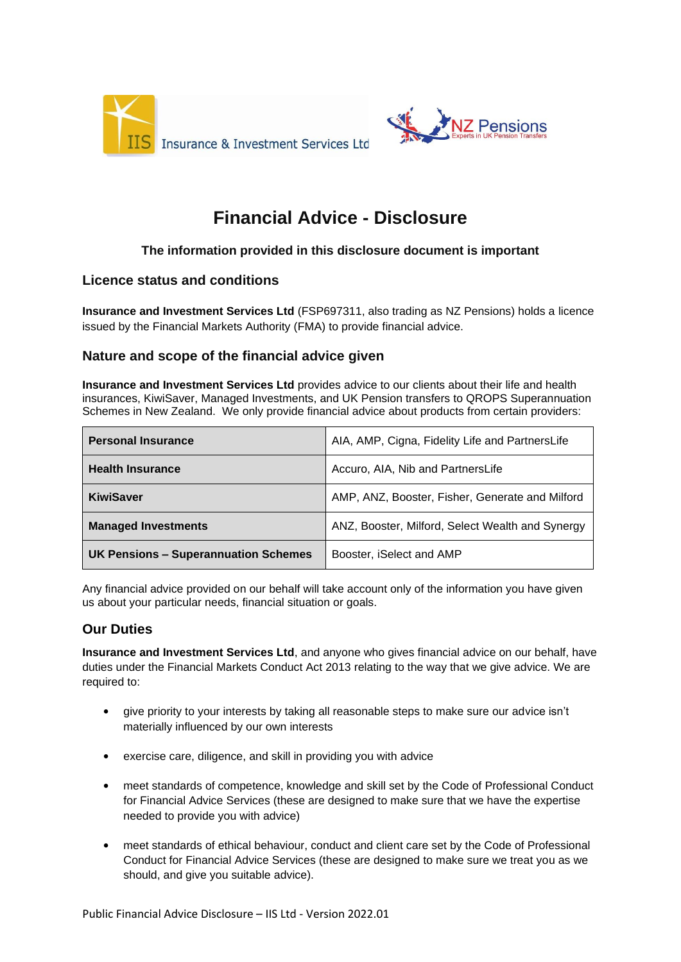



# **Financial Advice - Disclosure**

## **The information provided in this disclosure document is important**

## **Licence status and conditions**

**Insurance and Investment Services Ltd** (FSP697311, also trading as NZ Pensions) holds a licence issued by the Financial Markets Authority (FMA) to provide financial advice.

## **Nature and scope of the financial advice given**

**Insurance and Investment Services Ltd** provides advice to our clients about their life and health insurances, KiwiSaver, Managed Investments, and UK Pension transfers to QROPS Superannuation Schemes in New Zealand. We only provide financial advice about products from certain providers:

| <b>Personal Insurance</b>            | AIA, AMP, Cigna, Fidelity Life and PartnersLife  |
|--------------------------------------|--------------------------------------------------|
| <b>Health Insurance</b>              | Accuro, AIA, Nib and PartnersLife                |
| <b>KiwiSaver</b>                     | AMP, ANZ, Booster, Fisher, Generate and Milford  |
| <b>Managed Investments</b>           | ANZ, Booster, Milford, Select Wealth and Synergy |
| UK Pensions - Superannuation Schemes | Booster, iSelect and AMP                         |

Any financial advice provided on our behalf will take account only of the information you have given us about your particular needs, financial situation or goals.

## **Our Duties**

**Insurance and Investment Services Ltd**, and anyone who gives financial advice on our behalf, have duties under the Financial Markets Conduct Act 2013 relating to the way that we give advice. We are required to:

- give priority to your interests by taking all reasonable steps to make sure our advice isn't materially influenced by our own interests
- exercise care, diligence, and skill in providing you with advice
- meet standards of competence, knowledge and skill set by the Code of Professional Conduct for Financial Advice Services (these are designed to make sure that we have the expertise needed to provide you with advice)
- meet standards of ethical behaviour, conduct and client care set by the Code of Professional Conduct for Financial Advice Services (these are designed to make sure we treat you as we should, and give you suitable advice).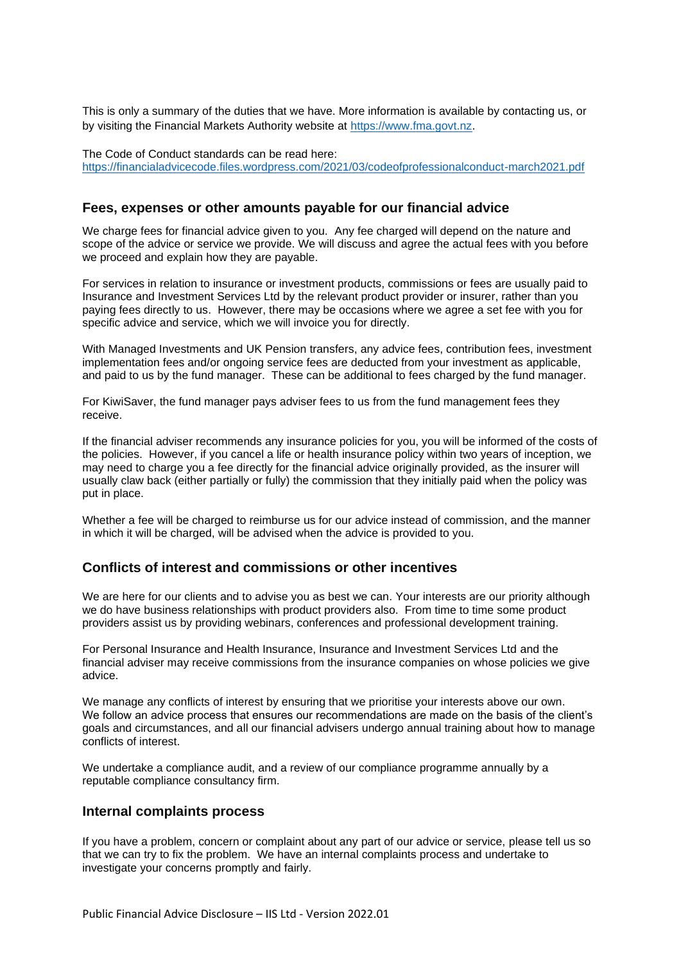This is only a summary of the duties that we have. More information is available by contacting us, or by visiting the Financial Markets Authority website at [https://www.fma.govt.nz.](https://www.fma.govt.nz/)

The Code of Conduct standards can be read here: <https://financialadvicecode.files.wordpress.com/2021/03/codeofprofessionalconduct-march2021.pdf>

## **Fees, expenses or other amounts payable for our financial advice**

We charge fees for financial advice given to you. Any fee charged will depend on the nature and scope of the advice or service we provide. We will discuss and agree the actual fees with you before we proceed and explain how they are payable.

For services in relation to insurance or investment products, commissions or fees are usually paid to Insurance and Investment Services Ltd by the relevant product provider or insurer, rather than you paying fees directly to us. However, there may be occasions where we agree a set fee with you for specific advice and service, which we will invoice you for directly.

With Managed Investments and UK Pension transfers, any advice fees, contribution fees, investment implementation fees and/or ongoing service fees are deducted from your investment as applicable, and paid to us by the fund manager. These can be additional to fees charged by the fund manager.

For KiwiSaver, the fund manager pays adviser fees to us from the fund management fees they receive.

If the financial adviser recommends any insurance policies for you, you will be informed of the costs of the policies. However, if you cancel a life or health insurance policy within two years of inception, we may need to charge you a fee directly for the financial advice originally provided, as the insurer will usually claw back (either partially or fully) the commission that they initially paid when the policy was put in place.

Whether a fee will be charged to reimburse us for our advice instead of commission, and the manner in which it will be charged, will be advised when the advice is provided to you.

#### **Conflicts of interest and commissions or other incentives**

We are here for our clients and to advise you as best we can. Your interests are our priority although we do have business relationships with product providers also. From time to time some product providers assist us by providing webinars, conferences and professional development training.

For Personal Insurance and Health Insurance, Insurance and Investment Services Ltd and the financial adviser may receive commissions from the insurance companies on whose policies we give advice.

We manage any conflicts of interest by ensuring that we prioritise your interests above our own. We follow an advice process that ensures our recommendations are made on the basis of the client's goals and circumstances, and all our financial advisers undergo annual training about how to manage conflicts of interest.

We undertake a compliance audit, and a review of our compliance programme annually by a reputable compliance consultancy firm.

#### **Internal complaints process**

If you have a problem, concern or complaint about any part of our advice or service, please tell us so that we can try to fix the problem. We have an internal complaints process and undertake to investigate your concerns promptly and fairly.